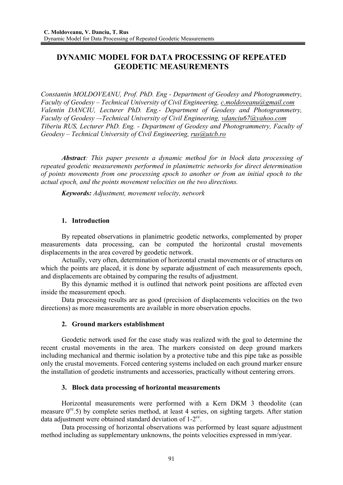# **DYNAMIC MODEL FOR DATA PROCESSING OF REPEATED GEODETIC MEASUREMENTS**

*Constantin MOLDOVEANU, Prof. PhD. Eng - Department of Geodesy and Photogrammetry, Faculty of Geodesy – Technical University of Civil Engineering, c.moldoveanu@gmail.com Valentin DANCIU, Lecturer PhD. Eng.- Department of Geodesy and Photogrammetry, Faculty of Geodesy –-Technical University of Civil Engineering, vdanciu67@yahoo.com Tiberiu RUS, Lecturer PhD. Eng. - Department of Geodesy and Photogrammetry, Faculty of Geodesy – Technical University of Civil Engineering, rus@utcb.ro*

*Abstract: This paper presents a dynamic method for in block data processing of repeated geodetic measurements performed in planimetric networks for direct determination of points movements from one processing epoch to another or from an initial epoch to the actual epoch, and the points movement velocities on the two directions.* 

*Keywords: Adjustment, movement velocity, network* 

### **1. Introduction**

By repeated observations in planimetric geodetic networks, complemented by proper measurements data processing, can be computed the horizontal crustal movements displacements in the area covered by geodetic network.

Actually, very often, determination of horizontal crustal movements or of structures on which the points are placed, it is done by separate adjustment of each measurements epoch, and displacements are obtained by comparing the results of adjustment.

By this dynamic method it is outlined that network point positions are affected even inside the measurement epoch.

Data processing results are as good (precision of displacements velocities on the two directions) as more measurements are available in more observation epochs.

### **2. Ground markers establishment**

Geodetic network used for the case study was realized with the goal to determine the recent crustal movements in the area. The markers consisted on deep ground markers including mechanical and thermic isolation by a protective tube and this pipe take as possible only the crustal movements. Forced centering systems included on each ground marker ensure the installation of geodetic instruments and accessories, practically without centering errors.

### **3. Block data processing of horizontal measurements**

Horizontal measurements were performed with a Kern DKM 3 theodolite (can measure  $0^{\text{cc}}.5$ ) by complete series method, at least 4 series, on sighting targets. After station data adjustment were obtained standard deviation of  $1-2^{\text{cc}}$ .

Data processing of horizontal observations was performed by least square adjustment method including as supplementary unknowns, the points velocities expressed in mm/year.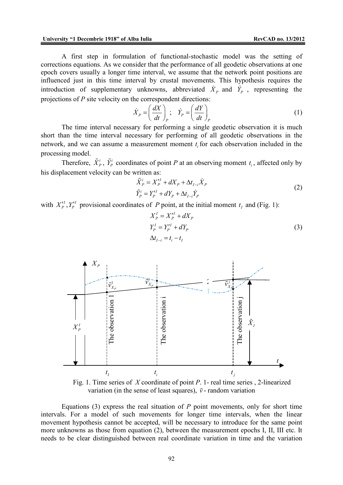A first step in formulation of functional-stochastic model was the setting of corrections equations. As we consider that the performance of all geodetic observations at one epoch covers usually a longer time interval, we assume that the network point positions are influenced just in this time interval by crustal movements. This hypothesis requires the introduction of supplementary unknowns, abbreviated  $\dot{X}_P$  and  $\dot{Y}_P$ , representing the projections of *P* site velocity on the correspondent directions:

$$
\dot{X}_P = \left(\frac{dX}{dt}\right)_P; \quad \dot{Y}_P = \left(\frac{dY}{dt}\right)_P
$$
\n(1)

The time interval necessary for performing a single geodetic observation it is much short than the time interval necessary for performing of all geodetic observations in the network, and we can assume a measurement moment  $t_i$  for each observation included in the processing model.

Therefore,  $\tilde{X}_P^i$ ,  $\tilde{Y}_P^i$  coordinates of point *P* at an observing moment  $t_i$ , affected only by his displacement velocity can be written as:

$$
\tilde{X}_P^i = X_P'^I + dX_P + \Delta t_{I-i} \dot{X}_P \n\tilde{Y}_P^i = Y_P'^I + dY_P + \Delta t_{I-i} \dot{Y}_P
$$
\n(2)

with  $X_P^{\prime I}$ ,  $Y_P^{\prime I}$  provisional coordinates of *P* point, at the initial moment  $t_I$  and (Fig. 1):

$$
X_P^I = X_P^I + dX_P
$$
  
\n
$$
Y_P^I = Y_P^I + dY_P
$$
  
\n
$$
\Delta t_{I-i} = t_i - t_I
$$
\n(3)



Fig. 1. Time series of *X* coordinate of point *P*. 1- real time series , 2-linearized variation (in the sense of least squares),  $\tilde{v}$  - random variation

Equations (3) express the real situation of  $P$  point movements, only for short time intervals. For a model of such movements for longer time intervals, when the linear movement hypothesis cannot be accepted, will be necessary to introduce for the same point more unknowns as those from equation (2), between the measurement epochs I, II, III etc. It needs to be clear distinguished between real coordinate variation in time and the variation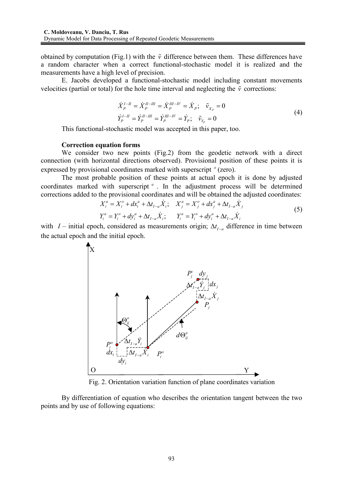obtained by computation (Fig.1) with the  $\tilde{v}$  difference between them. These differences have a random character when a correct functional-stochastic model it is realized and the measurements have a high level of precision.

E. Jacobs developed a functional-stochastic model including constant movements velocities (partial or total) for the hole time interval and neglecting the  $\tilde{v}$  corrections:

$$
\dot{X}_P^{I-H} = \dot{X}_P^{II-HI} = \dot{X}_P^{III-HI} = \dot{X}_P; \quad \tilde{v}_{X_P} = 0
$$
\n
$$
\dot{Y}_P^{I-H} = \dot{Y}_P^{II-HI} = \dot{Y}_P^{III-HI} = \dot{Y}_P; \quad \tilde{v}_{X_P} = 0
$$
\n(4)

This functional-stochastic model was accepted in this paper, too.

#### **Correction equation forms**

We consider two new points (Fig.2) from the geodetic network with a direct connection (with horizontal directions observed). Provisional position of these points it is expressed by provisional coordinates marked with superscript <sup>°</sup> (zero).

The most probable position of these points at actual epoch it is done by adjusted coordinates marked with superscript<sup>a</sup>. In the adjustment process will be determined corrections added to the provisional coordinates and will be obtained the adjusted coordinates:

$$
X_i^a = X_i^o + dx_i^a + \Delta t_{I-a} \dot{X}_i; \quad X_j^a = X_j^o + dx_j^a + \Delta t_{I-a} \dot{X}_j
$$
  
\n
$$
Y_i^a = Y_i^o + dy_i^a + \Delta t_{I-a} \dot{X}_i; \quad Y_i^a = Y_i^o + dy_i^a + \Delta t_{I-a} \dot{X}_i
$$
\n(5)

with *I* – initial epoch, considered as measurements origin;  $\Delta t_{I-a}$  difference in time between the actual epoch and the initial epoch.



Fig. 2. Orientation variation function of plane coordinates variation

By differentiation of equation who describes the orientation tangent between the two points and by use of following equations: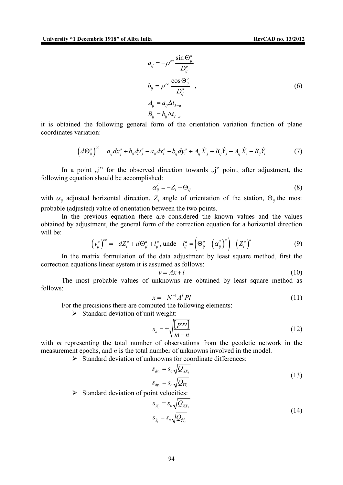$$
a_{ij} = -\rho^{cc} \frac{\sin \Theta_{ij}^o}{D_{ij}^o}
$$
  
\n
$$
b_{ij} = \rho^{cc} \frac{\cos \Theta_{ij}^o}{D_{ij}^o} ,
$$
  
\n
$$
A_{ij} = a_{ij} \Delta t_{I-a}
$$
  
\n
$$
B_{ij} = b_{ij} \Delta t_{I-a}
$$
  
\n(6)

it is obtained the following general form of the orientation variation function of plane coordinates variation:

$$
\left(d\Theta_{ij}^{a}\right)^{cc} = a_{ij}dx_{j}^{a} + b_{ij}dy_{j}^{a} - a_{ij}dx_{i}^{a} - b_{ij}dy_{i}^{a} + A_{ij}\dot{X}_{j} + B_{ij}\dot{Y}_{j} - A_{ij}\dot{X}_{i} - B_{ij}\dot{Y}_{i}
$$
(7)

In a point  $\mu$ <sup>"</sup> for the observed direction towards  $\mu$ <sup>"</sup> point, after adjustment, the following equation should be accomplished:

$$
\alpha_{ij}^l = -Z_i + \Theta_{ij} \tag{8}
$$

with  $\alpha_{ij}$  adjusted horizontal direction,  $Z_i$  angle of orientation of the station,  $\Theta_{ij}$  the most probable (adjusted) value of orientation between the two points.

In the previous equation there are considered the known values and the values obtained by adjustment, the general form of the correction equation for a horizontal direction will be:

$$
\left(v_{ij}^a\right)^{cc} = -dZ_i^a + d\Theta_{ij}^a + l_{ij}^a, \text{unde} \quad l_{ij}^a = \left(\Theta_{ij}^o - \left(\alpha_{ij}^*\right)^a\right) - \left(Z_i^o\right)^a \tag{9}
$$

In the matrix formulation of the data adjustment by least square method, first the correction equations linear system it is assumed as follows:

$$
v = Ax + l \tag{10}
$$

The most probable values of unknowns are obtained by least square method as follows:

$$
x = -N^{-1}A^T Pl \tag{11}
$$

For the precisions there are computed the following elements:

 $\triangleright$  Standard deviation of unit weight:

$$
s_o = \pm \sqrt{\frac{[pvv]}{m-n}}\tag{12}
$$

with *m* representing the total number of observations from the geodetic network in the measurement epochs, and *n* is the total number of unknowns involved in the model.

 $\triangleright$  Standard deviation of unknowns for coordinate differences:

$$
s_{dx_i} = s_o \sqrt{Q_{XX_i}}
$$
  
\n
$$
s_{dy_i} = s_o \sqrt{Q_{YY_i}}
$$
\n(13)

 $\triangleright$  Standard deviation of point velocities:

$$
s_{\dot{x}_i} = s_o \sqrt{Q_{\dot{x}\dot{x}_i}}
$$
  
\n
$$
s_{\dot{x}_i} = s_o \sqrt{Q_{\dot{x}\dot{x}_i}}
$$
\n(14)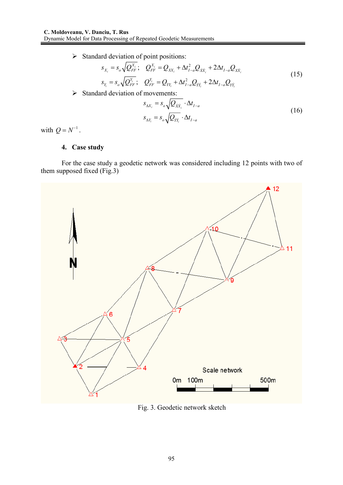$\triangleright$  Standard deviation of point positions:

$$
s_{X_i} = s_o \sqrt{Q_{FF}^{X_i}}; \quad Q_{FF}^{X_i} = Q_{XX_i} + \Delta t_{I-a}^2 Q_{XX_i} + 2\Delta t_{I-a} Q_{XX_i}
$$
  
\n
$$
s_{Y_i} = s_o \sqrt{Q_{FF}^{Y_i}}; \quad Q_{FF}^{Y_i} = Q_{YY_i} + \Delta t_{I-a}^2 Q_{YY_i} + 2\Delta t_{I-a} Q_{YY_i}
$$
\n(15)

 $\triangleright$  Standard deviation of movements:

$$
s_{\Delta X_i} = s_o \sqrt{Q_{\dot{X}\dot{X}_i}} \cdot \Delta t_{I-a}
$$
  
\n
$$
s_{\Delta Y_i} = s_o \sqrt{Q_{\dot{Y}\dot{Y}_i}} \cdot \Delta t_{I-a}
$$
\n(16)

with  $Q = N^{-1}$ .

## **4. Case study**

For the case study a geodetic network was considered including 12 points with two of them supposed fixed  $(Fig.3)$ 



Fig. 3. Geodetic network sketch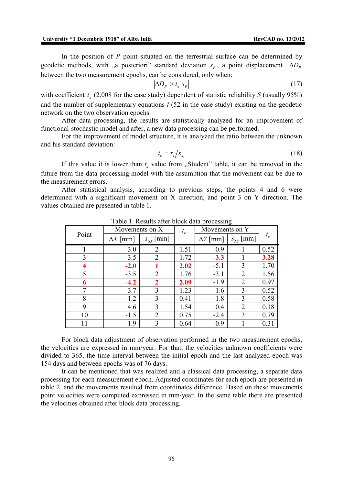In the position of *P* point situated on the terrestrial surface can be determined by geodetic methods, with "a posteriori" standard deviation  $s_p$ , a point displacement  $\Delta D_p$ between the two measurement epochs, can be considered, only when:

$$
\left|\Delta D_{P}\right| > t_{s}\left|s_{P}\right| \tag{17}
$$

with coefficient  $t_s$  (2.008 for the case study) dependent of statistic reliability *S* (usually 95%) and the number of supplementary equations  $f(52)$  in the case study) existing on the geodetic network on the two observation epochs.

After data processing, the results are statistically analyzed for an improvement of functional-stochastic model and after, a new data processing can be performed.

For the improvement of model structure, it is analyzed the ratio between the unknown and his standard deviation:

$$
t_k = x_i / s_{x_i} \tag{18}
$$

If this value it is lower than  $t_s$  value from  $\alpha_s$ Student" table, it can be removed in the future from the data processing model with the assumption that the movement can be due to the measurement errors.

After statistical analysis, according to previous steps, the points 4 and 6 were determined with a significant movement on X direction, and point 3 on Y direction. The values obtained are presented in table 1.

| Point | Movements on X  |                      | $t_{k}$ | Movements on Y  |                     |         |
|-------|-----------------|----------------------|---------|-----------------|---------------------|---------|
|       | $\Delta X$ [mm] | $s_{\Lambda X}$ [mm] |         | $\Delta Y$ [mm] | $s_{\Delta Y}$ [mm] | $t_{k}$ |
|       | $-3.0$          | 2                    | 1.51    | $-0.9$          |                     | 0.52    |
| 3     | $-3.5$          | $\overline{2}$       | 1.72    | $-3.3$          |                     | 3.28    |
|       | $-2.0$          |                      | 2.02    | $-5.1$          | 3                   | 1.70    |
| 5     | $-3.5$          | $\overline{2}$       | 1.76    | $-3.1$          | $\overline{2}$      | 1.56    |
| 6     | $-4.2$          | $\mathbf 2$          | 2.09    | $-1.9$          | $\overline{2}$      | 0.97    |
| 7     | 3.7             | 3                    | 1.23    | 1.6             | 3                   | 0.52    |
| 8     | 1.2             | 3                    | 0.41    | 1.8             | 3                   | 0.58    |
| 9     | 4.6             | 3                    | 1.54    | 0.4             | 2                   | 0.18    |
| 10    | $-1.5$          | 2                    | 0.75    | $-2.4$          | 3                   | 0.79    |
| 11    | 1.9             | 3                    | 0.64    | $-0.9$          |                     | 0.31    |

Table 1. Results after block data processing

For block data adjustment of observation performed in the two measurement epochs, the velocities are expressed in mm/year. For that, the velocities unknown coefficients were divided to 365, the time interval between the initial epoch and the last analyzed epoch was 154 days and between epochs was of 76 days.

It can be mentioned that was realized and a classical data processing, a separate data processing for each measurement epoch. Adjusted coordinates for each epoch are presented in table 2, and the movements resulted from coordinates difference. Based on these movements point velocities were computed expressed in mm/year. In the same table there are presented the velocities obtained after block data processing.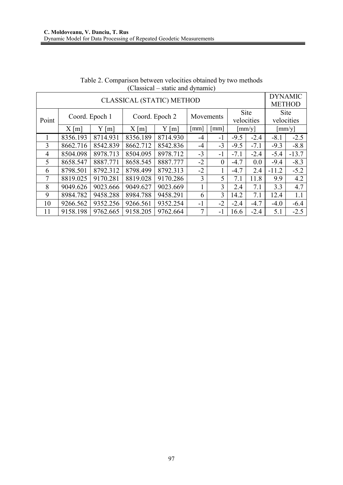|                                  |                |                        |                |                        |                |                      |                |        | <b>DYNAMIC</b>  |         |
|----------------------------------|----------------|------------------------|----------------|------------------------|----------------|----------------------|----------------|--------|-----------------|---------|
| <b>CLASSICAL (STATIC) METHOD</b> |                |                        |                |                        |                |                      |                |        | <b>METHOD</b>   |         |
|                                  | Coord. Epoch 1 |                        | Coord. Epoch 2 |                        | Movements      |                      | <b>Site</b>    |        | <b>Site</b>     |         |
| Point                            |                |                        |                |                        |                |                      | velocities     |        | velocities      |         |
|                                  | X[m]           | Y<br>$\lceil m \rceil$ | X[m]           | Y<br>$\lceil m \rceil$ | mm             | $\lceil$ mm $\rceil$ | $\lceil$ mm/y] |        | $\text{[mm/y]}$ |         |
|                                  | 8356.193       | 8714.931               | 8356.189       | 8714.930               | $-4$           | $-1$                 | $-9.5$         | $-2.4$ | $-8.1$          | $-2.5$  |
| 3                                | 8662.716       | 8542.839               | 8662.712       | 8542.836               | $-4$           | $-3$                 | $-9.5$         | $-7.1$ | $-9.3$          | $-8.8$  |
| $\overline{4}$                   | 8504.098       | 8978.713               | 8504.095       | 8978.712               | $-3$           | $-1$                 | $-7.1$         | $-2.4$ | $-5.4$          | $-13.7$ |
| $\overline{5}$                   | 8658.547       | 8887.771               | 8658.545       | 8887.777               | $-2$           | $\theta$             | $-4.7$         | 0.0    | $-9.4$          | $-8.3$  |
| 6                                | 8798.501       | 8792.312               | 8798.499       | 8792.313               | $-2$           |                      | $-4.7$         | 2.4    | $-11.2$         | $-5.2$  |
| 7                                | 8819.025       | 9170.281               | 8819.028       | 9170.286               | $\overline{3}$ | 5                    | 7.1            | 11.8   | 9.9             | 4.2     |
| 8                                | 9049.626       | 9023.666               | 9049.627       | 9023.669               |                | $\overline{3}$       | 2.4            | 7.1    | 3.3             | 4.7     |
| 9                                | 8984.782       | 9458.288               | 8984.788       | 9458.291               | 6              | 3                    | 14.2           | 7.1    | 12.4            | 1.1     |
| 10                               | 9266.562       | 9352.256               | 9266.561       | 9352.254               | $-1$           | $-2$                 | $-2.4$         | $-4.7$ | $-4.0$          | $-6.4$  |
| 11                               | 9158.198       | 9762.665               | 9158.205       | 9762.664               | 7              | $-1$                 | 16.6           | $-2.4$ | 5.1             | $-2.5$  |

| Table 2. Comparison between velocities obtained by two methods |                                  |  |  |
|----------------------------------------------------------------|----------------------------------|--|--|
|                                                                | (Classical – static and dynamic) |  |  |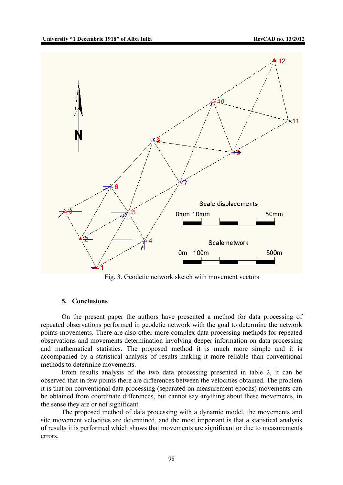

Fig. 3. Geodetic network sketch with movement vectors

### **5. Conclusions**

On the present paper the authors have presented a method for data processing of repeated observations performed in geodetic network with the goal to determine the network points movements. There are also other more complex data processing methods for repeated observations and movements determination involving deeper information on data processing and mathematical statistics. The proposed method it is much more simple and it is accompanied by a statistical analysis of results making it more reliable than conventional methods to determine movements.

From results analysis of the two data processing presented in table 2, it can be observed that in few points there are differences between the velocities obtained. The problem it is that on conventional data processing (separated on measurement epochs) movements can be obtained from coordinate differences, but cannot say anything about these movements, in the sense they are or not significant.

The proposed method of data processing with a dynamic model, the movements and site movement velocities are determined, and the most important is that a statistical analysis of results it is performed which shows that movements are significant or due to measurements errors.